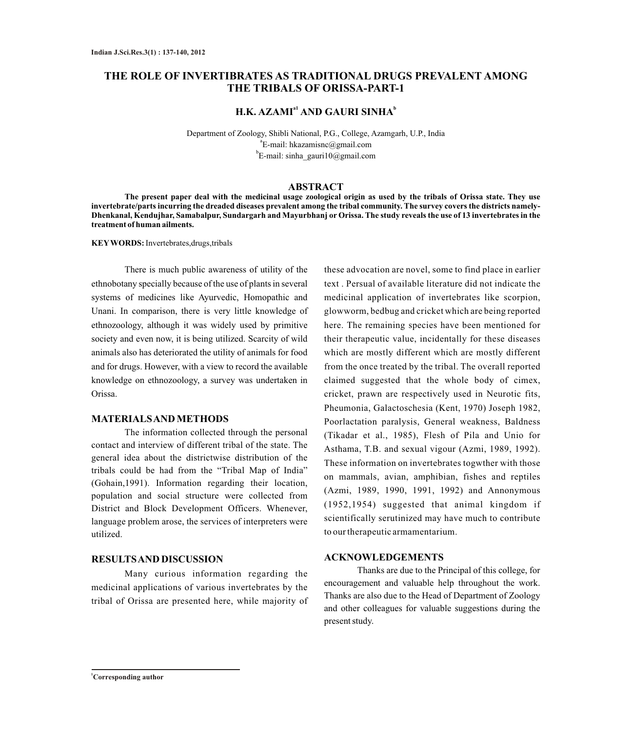# **THE ROLE OF INVERTIBRATES AS TRADITIONAL DRUGS PREVALENT AMONG THE TRIBALS OF ORISSA-PART-1**

**H.K. AZAMI**<sup>a1</sup> **AND GAURI SINHA**<sup>b</sup>

Department of Zoology, Shibli National, P.G., College, Azamgarh, U.P., India  $\mathrm{aE}$ -mail: hkazamisnc $@$ gmail.com b E-mail: sinha\_gauri10@gmail.com

#### **ABSTRACT**

**The present paper deal with the medicinal usage zoological origin as used by the tribals of Orissa state. They use invertebrate/parts incurring the dreaded diseases prevalent among the tribal community. The survey covers the districts namely-Dhenkanal, Kendujhar, Samabalpur, Sundargarh and Mayurbhanj or Orissa. The study reveals the use of 13 invertebrates in the treatment of human ailments.**

#### **KEYWORDS:** Invertebrates,drugs,tribals

There is much public awareness of utility of the ethnobotany specially because of the use of plants in several systems of medicines like Ayurvedic, Homopathic and Unani. In comparison, there is very little knowledge of ethnozoology, although it was widely used by primitive society and even now, it is being utilized. Scarcity of wild animals also has deteriorated the utility of animals for food and for drugs. However, with a view to record the available knowledge on ethnozoology, a survey was undertaken in Orissa.

## **MATERIALS AND METHODS**

The information collected through the personal contact and interview of different tribal of the state. The general idea about the districtwise distribution of the tribals could be had from the "Tribal Map of India" (Gohain,1991). Information regarding their location, population and social structure were collected from District and Block Development Officers. Whenever, language problem arose, the services of interpreters were utilized.

### **RESULTS AND DISCUSSION**

Many curious information regarding the medicinal applications of various invertebrates by the tribal of Orissa are presented here, while majority of

these advocation are novel, some to find place in earlier text . Persual of available literature did not indicate the medicinal application of invertebrates like scorpion, glowworm, bedbug and cricket which are being reported here. The remaining species have been mentioned for their therapeutic value, incidentally for these diseases which are mostly different which are mostly different from the once treated by the tribal. The overall reported claimed suggested that the whole body of cimex, cricket, prawn are respectively used in Neurotic fits, Pheumonia, Galactoschesia (Kent, 1970) Joseph 1982, Poorlactation paralysis, General weakness, Baldness (Tikadar et al., 1985), Flesh of Pila and Unio for Asthama, T.B. and sexual vigour (Azmi, 1989, 1992). These information on invertebrates togwther with those on mammals, avian, amphibian, fishes and reptiles (Azmi, 1989, 1990, 1991, 1992) and Annonymous (1952,1954) suggested that animal kingdom if scientifically serutinized may have much to contribute to our therapeutic armamentarium.

### **ACKNOWLEDGEMENTS**

Thanks are due to the Principal of this college, for encouragement and valuable help throughout the work. Thanks are also due to the Head of Department of Zoology and other colleagues for valuable suggestions during the present study.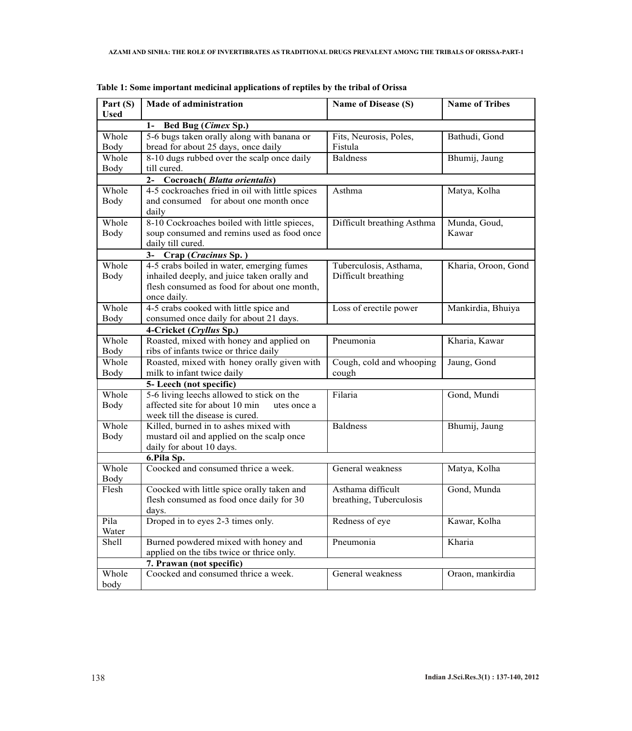| Part (S)    | Made of administration                                                      | <b>Name of Disease (S)</b> | <b>Name of Tribes</b> |
|-------------|-----------------------------------------------------------------------------|----------------------------|-----------------------|
| <b>Used</b> | 1- Bed Bug (Cimex Sp.)                                                      |                            |                       |
| Whole       | 5-6 bugs taken orally along with banana or                                  | Fits, Neurosis, Poles,     | Bathudi, Gond         |
| <b>Body</b> | bread for about 25 days, once daily                                         | Fistula                    |                       |
| Whole       | 8-10 dugs rubbed over the scalp once daily                                  | <b>Baldness</b>            | Bhumij, Jaung         |
| Body        | till cured.                                                                 |                            |                       |
|             | 2- Cocroach (Blatta orientalis)                                             |                            |                       |
| Whole       | 4-5 cockroaches fried in oil with little spices                             | Asthma                     | Matya, Kolha          |
| <b>Body</b> | and consumed for about one month once                                       |                            |                       |
|             | daily                                                                       |                            |                       |
| Whole       | 8-10 Cockroaches boiled with little spieces,                                | Difficult breathing Asthma | Munda, Goud,          |
| <b>Body</b> | soup consumed and remins used as food once                                  |                            | Kawar                 |
|             | daily till cured.                                                           |                            |                       |
|             | 3- Crap (Cracinus Sp.)                                                      |                            |                       |
| Whole       | 4-5 crabs boiled in water, emerging fumes                                   | Tuberculosis, Asthama,     | Kharia, Oroon, Gond   |
| <b>Body</b> | inhailed deeply, and juice taken orally and                                 | Difficult breathing        |                       |
|             | flesh consumed as food for about one month,                                 |                            |                       |
|             | once daily.                                                                 |                            |                       |
| Whole       | 4-5 crabs cooked with little spice and                                      | Loss of erectile power     | Mankirdia, Bhuiya     |
| <b>Body</b> | consumed once daily for about 21 days.                                      |                            |                       |
|             | 4-Cricket (Cryllus Sp.)                                                     |                            |                       |
| Whole       | Roasted, mixed with honey and applied on                                    | Pneumonia                  | Kharia, Kawar         |
| Body        | ribs of infants twice or thrice daily                                       |                            |                       |
| Whole       | Roasted, mixed with honey orally given with                                 | Cough, cold and whooping   | Jaung, Gond           |
| <b>Body</b> | milk to infant twice daily                                                  | cough                      |                       |
| Whole       | 5- Leech (not specific)                                                     |                            |                       |
|             | 5-6 living leechs allowed to stick on the<br>affected site for about 10 min | Filaria                    | Gond, Mundi           |
| <b>Body</b> | utes once a<br>week till the disease is cured.                              |                            |                       |
| Whole       | Killed, burned in to ashes mixed with                                       | <b>Baldness</b>            | Bhumij, Jaung         |
| <b>Body</b> | mustard oil and applied on the scalp once                                   |                            |                       |
|             | daily for about 10 days.                                                    |                            |                       |
|             | 6.Pila Sp.                                                                  |                            |                       |
| Whole       | Coocked and consumed thrice a week.                                         | General weakness           | Matya, Kolha          |
| Body        |                                                                             |                            |                       |
| Flesh       | Coocked with little spice orally taken and                                  | Asthama difficult          | Gond, Munda           |
|             | flesh consumed as food once daily for 30                                    | breathing, Tuberculosis    |                       |
|             | days.                                                                       |                            |                       |
| Pila        | Droped in to eyes 2-3 times only.                                           | Redness of eye             | Kawar, Kolha          |
| Water       |                                                                             |                            |                       |
| Shell       | Burned powdered mixed with honey and                                        | Pneumonia                  | Kharia                |
|             | applied on the tibs twice or thrice only.                                   |                            |                       |
|             | 7. Prawan (not specific)                                                    |                            |                       |
| Whole       | Coocked and consumed thrice a week.                                         | General weakness           | Oraon, mankirdia      |
| body        |                                                                             |                            |                       |

**Table 1: Some important medicinal applications of reptiles by the tribal of Orissa**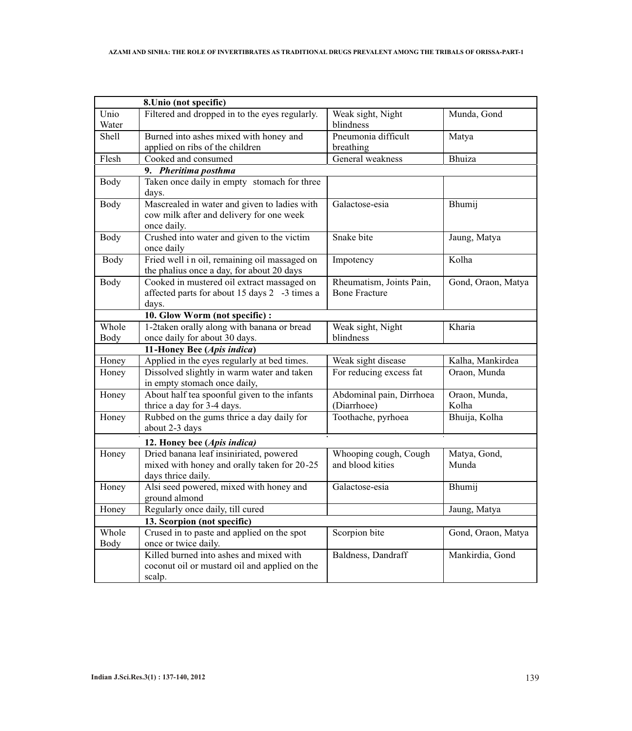| 8. Unio (not specific)      |                                                |                          |                    |  |  |
|-----------------------------|------------------------------------------------|--------------------------|--------------------|--|--|
| Unio                        | Filtered and dropped in to the eyes regularly. | Weak sight, Night        | Munda, Gond        |  |  |
| Water                       |                                                | blindness                |                    |  |  |
| Shell                       | Burned into ashes mixed with honey and         | Pneumonia difficult      | Matya              |  |  |
|                             | applied on ribs of the children                | breathing                |                    |  |  |
| Flesh                       | Cooked and consumed                            | General weakness         | Bhuiza             |  |  |
| 9. Pheritima posthma        |                                                |                          |                    |  |  |
| <b>Body</b>                 | Taken once daily in empty stomach for three    |                          |                    |  |  |
|                             | days.                                          |                          |                    |  |  |
| <b>Body</b>                 | Mascrealed in water and given to ladies with   | Galactose-esia           | Bhumij             |  |  |
|                             | cow milk after and delivery for one week       |                          |                    |  |  |
|                             | once daily.                                    |                          |                    |  |  |
| Body                        | Crushed into water and given to the victim     | Snake bite               | Jaung, Matya       |  |  |
|                             | once daily                                     |                          |                    |  |  |
| <b>Body</b>                 | Fried well in oil, remaining oil massaged on   | Impotency                | Kolha              |  |  |
|                             | the phalius once a day, for about 20 days      |                          |                    |  |  |
| <b>Body</b>                 | Cooked in mustered oil extract massaged on     | Rheumatism, Joints Pain, | Gond, Oraon, Matya |  |  |
|                             | affected parts for about 15 days 2 -3 times a  | <b>Bone Fracture</b>     |                    |  |  |
|                             | days.                                          |                          |                    |  |  |
|                             | 10. Glow Worm (not specific) :                 |                          |                    |  |  |
| Whole                       | 1-2taken orally along with banana or bread     | Weak sight, Night        | Kharia             |  |  |
| Body                        | once daily for about 30 days.                  | blindness                |                    |  |  |
|                             | 11-Honey Bee (Apis indica)                     |                          |                    |  |  |
| Honey                       | Applied in the eyes regularly at bed times.    | Weak sight disease       | Kalha, Mankirdea   |  |  |
| Honey                       | Dissolved slightly in warm water and taken     | For reducing excess fat  | Oraon, Munda       |  |  |
|                             | in empty stomach once daily,                   |                          |                    |  |  |
| Honey                       | About half tea spoonful given to the infants   | Abdominal pain, Dirrhoea | Oraon, Munda,      |  |  |
|                             | thrice a day for 3-4 days.                     | (Diarrhoee)              | Kolha              |  |  |
| Honey                       | Rubbed on the gums thrice a day daily for      | Toothache, pyrhoea       | Bhuija, Kolha      |  |  |
|                             | about 2-3 days                                 |                          |                    |  |  |
| 12. Honey bee (Apis indica) |                                                |                          |                    |  |  |
| Honey                       | Dried banana leaf insiniriated, powered        | Whooping cough, Cough    | Matya, Gond,       |  |  |
|                             | mixed with honey and orally taken for 20-25    | and blood kities         | Munda              |  |  |
|                             | days thrice daily.                             |                          |                    |  |  |
| Honey                       | Alsi seed powered, mixed with honey and        | Galactose-esia           | Bhumij             |  |  |
|                             | ground almond                                  |                          |                    |  |  |
| Honey                       | Regularly once daily, till cured               |                          | Jaung, Matya       |  |  |
|                             | 13. Scorpion (not specific)                    |                          |                    |  |  |
| Whole                       | Crused in to paste and applied on the spot     | Scorpion bite            | Gond, Oraon, Matya |  |  |
| Body                        | once or twice daily.                           |                          |                    |  |  |
|                             | Killed burned into ashes and mixed with        | Baldness, Dandraff       | Mankirdia, Gond    |  |  |
|                             | coconut oil or mustard oil and applied on the  |                          |                    |  |  |
|                             | scalp.                                         |                          |                    |  |  |